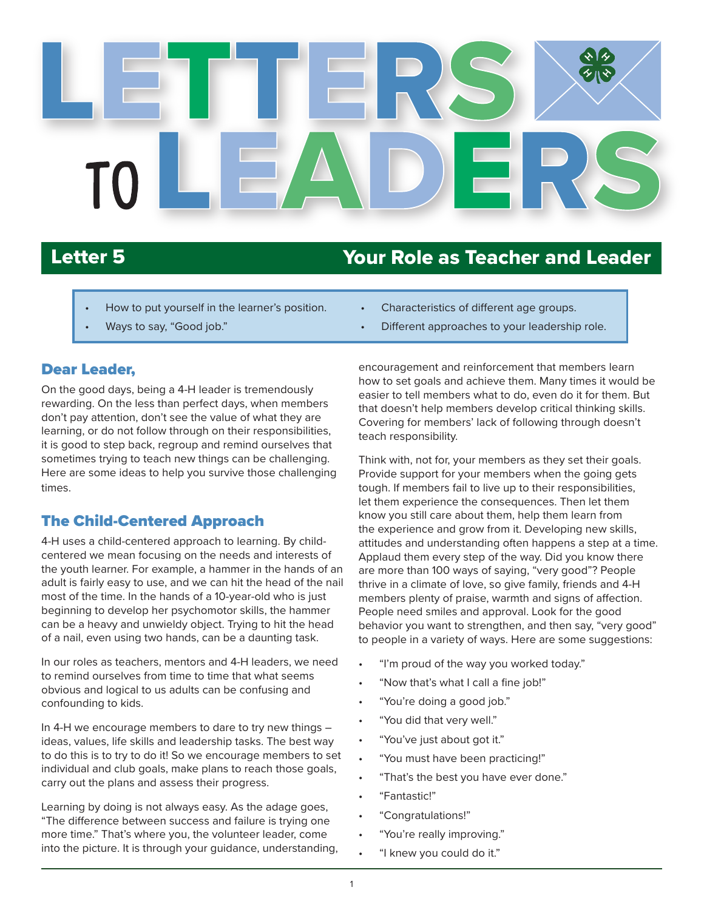

# Letter 5 Your Role as Teacher and Leader

- How to put yourself in the learner's position.
- Ways to say, "Good job."

#### Dear Leader,

On the good days, being a 4-H leader is tremendously rewarding. On the less than perfect days, when members don't pay attention, don't see the value of what they are learning, or do not follow through on their responsibilities, it is good to step back, regroup and remind ourselves that sometimes trying to teach new things can be challenging. Here are some ideas to help you survive those challenging times.

#### The Child-Centered Approach

4-H uses a child-centered approach to learning. By childcentered we mean focusing on the needs and interests of the youth learner. For example, a hammer in the hands of an adult is fairly easy to use, and we can hit the head of the nail most of the time. In the hands of a 10-year-old who is just beginning to develop her psychomotor skills, the hammer can be a heavy and unwieldy object. Trying to hit the head of a nail, even using two hands, can be a daunting task.

In our roles as teachers, mentors and 4-H leaders, we need to remind ourselves from time to time that what seems obvious and logical to us adults can be confusing and confounding to kids.

In 4-H we encourage members to dare to try new things – ideas, values, life skills and leadership tasks. The best way to do this is to try to do it! So we encourage members to set individual and club goals, make plans to reach those goals, carry out the plans and assess their progress.

Learning by doing is not always easy. As the adage goes, "The difference between success and failure is trying one more time." That's where you, the volunteer leader, come into the picture. It is through your guidance, understanding,

- Characteristics of different age groups.
- Different approaches to your leadership role.

encouragement and reinforcement that members learn how to set goals and achieve them. Many times it would be easier to tell members what to do, even do it for them. But that doesn't help members develop critical thinking skills. Covering for members' lack of following through doesn't teach responsibility.

Think with, not for, your members as they set their goals. Provide support for your members when the going gets tough. If members fail to live up to their responsibilities, let them experience the consequences. Then let them know you still care about them, help them learn from the experience and grow from it. Developing new skills, attitudes and understanding often happens a step at a time. Applaud them every step of the way. Did you know there are more than 100 ways of saying, "very good"? People thrive in a climate of love, so give family, friends and 4-H members plenty of praise, warmth and signs of affection. People need smiles and approval. Look for the good behavior you want to strengthen, and then say, "very good" to people in a variety of ways. Here are some suggestions:

- "I'm proud of the way you worked today."
- "Now that's what I call a fine job!"
- "You're doing a good job."
- "You did that very well."
- "You've just about got it."
- "You must have been practicing!"
- "That's the best you have ever done."
- "Fantastic!"
- "Congratulations!"
- "You're really improving."
- "I knew you could do it."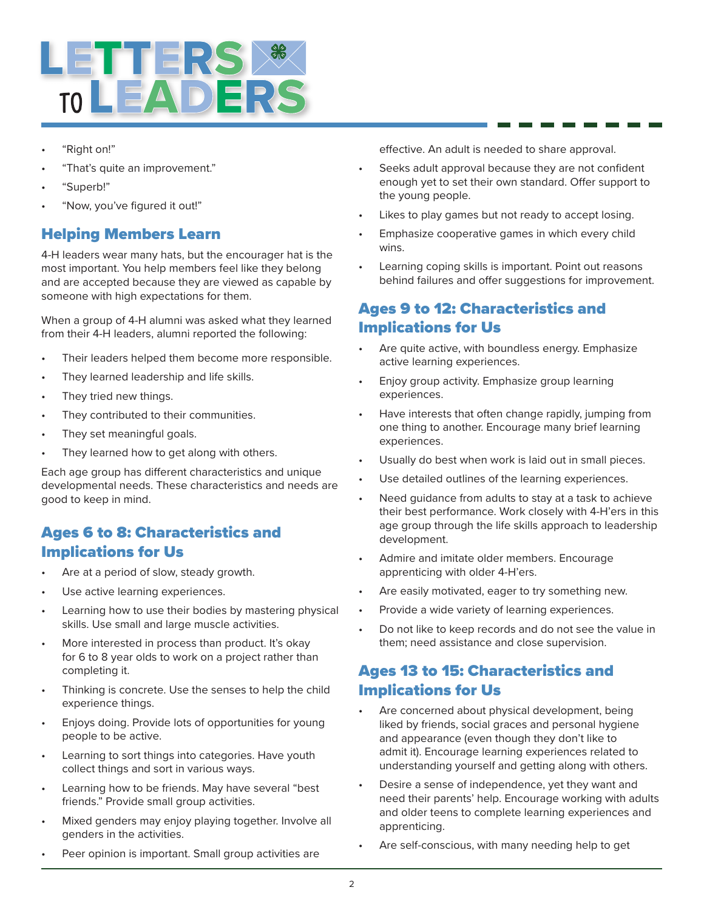

- "Right on!"
- "That's quite an improvement."
- "Superb!"
- "Now, you've figured it out!"

## Helping Members Learn

4-H leaders wear many hats, but the encourager hat is the most important. You help members feel like they belong and are accepted because they are viewed as capable by someone with high expectations for them.

When a group of 4-H alumni was asked what they learned from their 4-H leaders, alumni reported the following:

- Their leaders helped them become more responsible.
- They learned leadership and life skills.
- They tried new things.
- They contributed to their communities.
- They set meaningful goals.
- They learned how to get along with others.

Each age group has different characteristics and unique developmental needs. These characteristics and needs are good to keep in mind.

### Ages 6 to 8: Characteristics and Implications for Us

- Are at a period of slow, steady growth.
- Use active learning experiences.
- Learning how to use their bodies by mastering physical skills. Use small and large muscle activities.
- More interested in process than product. It's okay for 6 to 8 year olds to work on a project rather than completing it.
- Thinking is concrete. Use the senses to help the child experience things.
- Enjoys doing. Provide lots of opportunities for young people to be active.
- Learning to sort things into categories. Have youth collect things and sort in various ways.
- Learning how to be friends. May have several "best friends." Provide small group activities.
- Mixed genders may enjoy playing together. Involve all genders in the activities.
- Peer opinion is important. Small group activities are

effective. An adult is needed to share approval.

- Seeks adult approval because they are not confident enough yet to set their own standard. Offer support to the young people.
- Likes to play games but not ready to accept losing.
- Emphasize cooperative games in which every child wins.
- Learning coping skills is important. Point out reasons behind failures and offer suggestions for improvement.

# Ages 9 to 12: Characteristics and Implications for Us

- Are quite active, with boundless energy. Emphasize active learning experiences.
- Enjoy group activity. Emphasize group learning experiences.
- Have interests that often change rapidly, jumping from one thing to another. Encourage many brief learning experiences.
- Usually do best when work is laid out in small pieces.
- Use detailed outlines of the learning experiences.
- Need quidance from adults to stay at a task to achieve their best performance. Work closely with 4-H'ers in this age group through the life skills approach to leadership development.
- Admire and imitate older members. Encourage apprenticing with older 4-H'ers.
- Are easily motivated, eager to try something new.
- Provide a wide variety of learning experiences.
- Do not like to keep records and do not see the value in them; need assistance and close supervision.

# Ages 13 to 15: Characteristics and Implications for Us

- Are concerned about physical development, being liked by friends, social graces and personal hygiene and appearance (even though they don't like to admit it). Encourage learning experiences related to understanding yourself and getting along with others.
- Desire a sense of independence, yet they want and need their parents' help. Encourage working with adults and older teens to complete learning experiences and apprenticing.
- Are self-conscious, with many needing help to get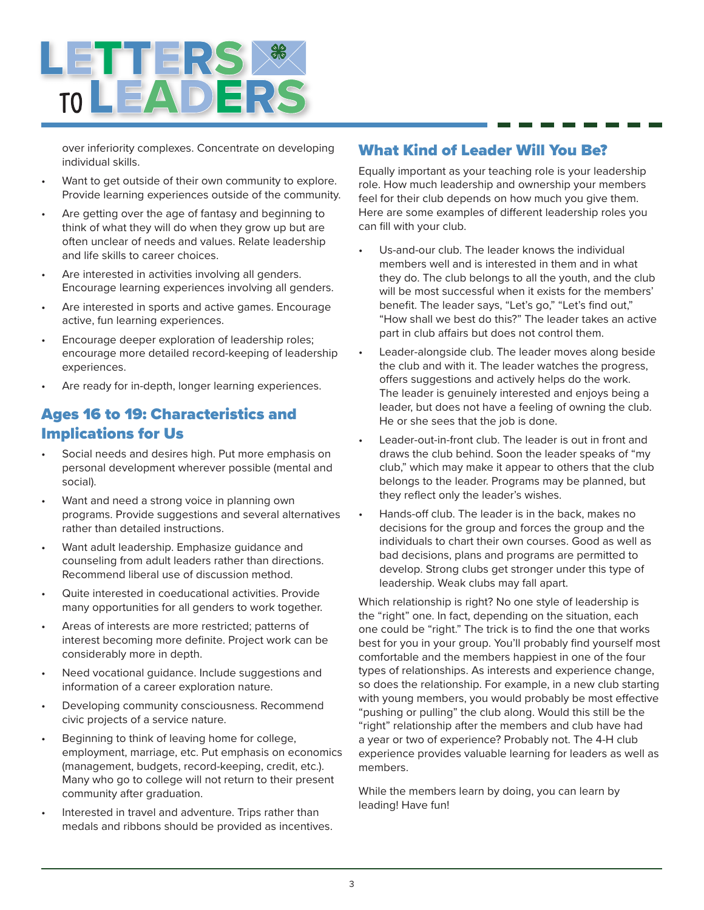

over inferiority complexes. Concentrate on developing individual skills.

- Want to get outside of their own community to explore. Provide learning experiences outside of the community.
- Are getting over the age of fantasy and beginning to think of what they will do when they grow up but are often unclear of needs and values. Relate leadership and life skills to career choices.
- Are interested in activities involving all genders. Encourage learning experiences involving all genders.
- Are interested in sports and active games. Encourage active, fun learning experiences.
- Encourage deeper exploration of leadership roles; encourage more detailed record-keeping of leadership experiences.
- Are ready for in-depth, longer learning experiences.

#### Ages 16 to 19: Characteristics and Implications for Us

- Social needs and desires high. Put more emphasis on personal development wherever possible (mental and social).
- Want and need a strong voice in planning own programs. Provide suggestions and several alternatives rather than detailed instructions.
- Want adult leadership. Emphasize guidance and counseling from adult leaders rather than directions. Recommend liberal use of discussion method.
- Quite interested in coeducational activities. Provide many opportunities for all genders to work together.
- Areas of interests are more restricted; patterns of interest becoming more definite. Project work can be considerably more in depth.
- Need vocational guidance. Include suggestions and information of a career exploration nature.
- Developing community consciousness. Recommend civic projects of a service nature.
- Beginning to think of leaving home for college, employment, marriage, etc. Put emphasis on economics (management, budgets, record-keeping, credit, etc.). Many who go to college will not return to their present community after graduation.
- Interested in travel and adventure. Trips rather than medals and ribbons should be provided as incentives.

#### What Kind of Leader Will You Be?

Equally important as your teaching role is your leadership role. How much leadership and ownership your members feel for their club depends on how much you give them. Here are some examples of different leadership roles you can fill with your club.

- Us-and-our club. The leader knows the individual members well and is interested in them and in what they do. The club belongs to all the youth, and the club will be most successful when it exists for the members' benefit. The leader says, "Let's go," "Let's find out," "How shall we best do this?" The leader takes an active part in club affairs but does not control them.
- Leader-alongside club. The leader moves along beside the club and with it. The leader watches the progress, offers suggestions and actively helps do the work. The leader is genuinely interested and enjoys being a leader, but does not have a feeling of owning the club. He or she sees that the job is done.
- Leader-out-in-front club. The leader is out in front and draws the club behind. Soon the leader speaks of "my club," which may make it appear to others that the club belongs to the leader. Programs may be planned, but they reflect only the leader's wishes.
- Hands-off club. The leader is in the back, makes no decisions for the group and forces the group and the individuals to chart their own courses. Good as well as bad decisions, plans and programs are permitted to develop. Strong clubs get stronger under this type of leadership. Weak clubs may fall apart.

Which relationship is right? No one style of leadership is the "right" one. In fact, depending on the situation, each one could be "right." The trick is to find the one that works best for you in your group. You'll probably find yourself most comfortable and the members happiest in one of the four types of relationships. As interests and experience change, so does the relationship. For example, in a new club starting with young members, you would probably be most effective "pushing or pulling" the club along. Would this still be the "right" relationship after the members and club have had a year or two of experience? Probably not. The 4-H club experience provides valuable learning for leaders as well as members.

While the members learn by doing, you can learn by leading! Have fun!